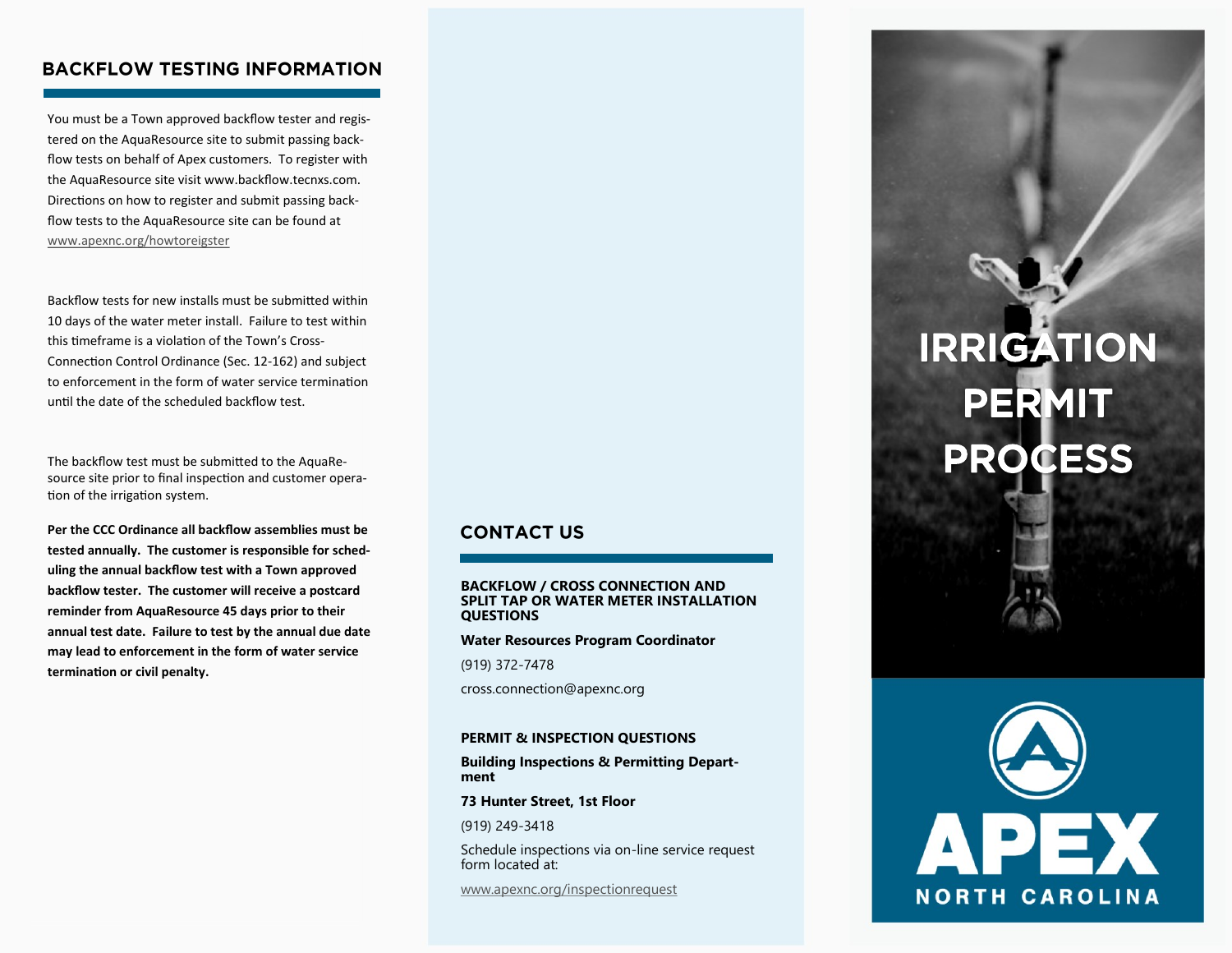## **BACKFLOW TESTING INFORMATION**

You must be a Town approved backflow tester and registered on the AquaResource site to submit passing backflow tests on behalf of Apex customers. To register with the AquaResource site visit www.backflow.tecnxs.com. Directions on how to register and submit passing backflow tests to the AquaResource site can be found at [www.apexnc.org/howtoreigster](http://www.apexnc.org/howtoreigster)

Backflow tests for new installs must be submitted within 10 days of the water meter install. Failure to test within this timeframe is a violation of the Town's Cross-Connection Control Ordinance (Sec. 12-162) and subject to enforcement in the form of water service termination until the date of the scheduled backflow test.

The backflow test must be submitted to the AquaResource site prior to final inspection and customer operation of the irrigation system.

**Per the CCC Ordinance all backflow assemblies must be tested annually. The customer is responsible for scheduling the annual backflow test with a Town approved backflow tester. The customer will receive a postcard reminder from AquaResource 45 days prior to their annual test date. Failure to test by the annual due date may lead to enforcement in the form of water service termination or civil penalty.** 

### **CONTACT US**

#### **BACKFLOW / CROSS CONNECTION AND SPLIT TAP OR WATER METER INSTALLATION QUESTIONS**

**Water Resources Program Coordinator**

(919) 372-7478

cross.connection@apexnc.org

#### **PERMIT & INSPECTION QUESTIONS**

**Building Inspections & Permitting Department**

**73 Hunter Street, 1st Floor**

(919) 249-3418

Schedule inspections via on-line service request form located at:

[www.apexnc.org/inspectionrequest](http://www.apexnc.org/inspectionrequest)

# **IRRIGATION PERMIT PROCESS**